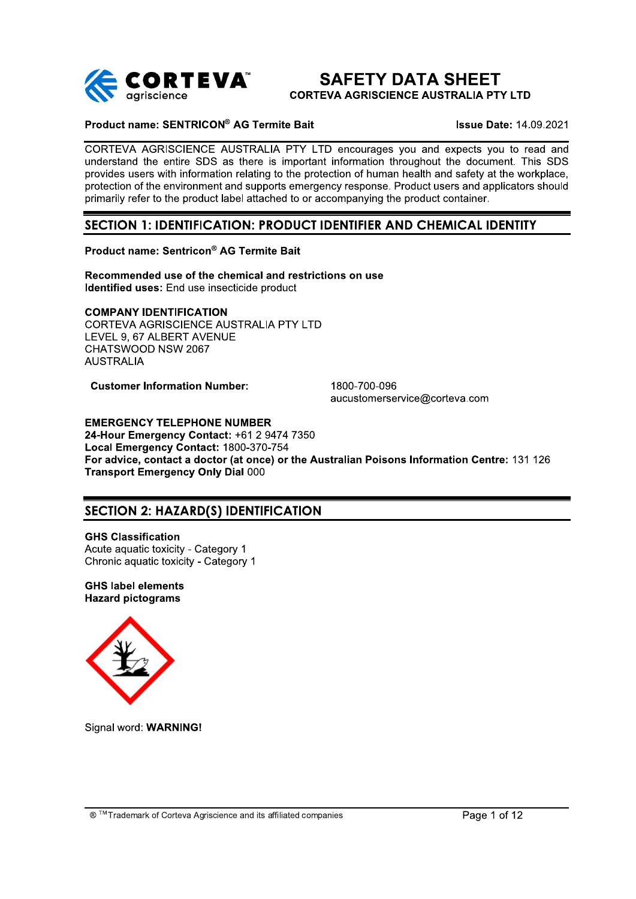

# **SAFETY DATA SHEET**

**CORTEVA AGRISCIENCE AUSTRALIA PTY LTD** 

## Product name: SENTRICON® AG Termite Bait

**Issue Date: 14.09.2021** 

CORTEVA AGRISCIENCE AUSTRALIA PTY LTD encourages you and expects you to read and understand the entire SDS as there is important information throughout the document. This SDS provides users with information relating to the protection of human health and safety at the workplace. protection of the environment and supports emergency response. Product users and applicators should primarily refer to the product label attached to or accompanying the product container.

## SECTION 1: IDENTIFICATION: PRODUCT IDENTIFIER AND CHEMICAL IDENTITY

## Product name: Sentricon® AG Termite Bait

Recommended use of the chemical and restrictions on use Identified uses: End use insecticide product

## **COMPANY IDENTIFICATION**

CORTEVA AGRISCIENCE AUSTRALIA PTY LTD LEVEL 9. 67 ALBERT AVENUE CHATSWOOD NSW 2067 **AUSTRALIA** 

**Customer Information Number:** 

1800-700-096 aucustomerservice@corteva.com

**EMERGENCY TELEPHONE NUMBER** 24-Hour Emergency Contact: +61 2 9474 7350 Local Emergency Contact: 1800-370-754 For advice, contact a doctor (at once) or the Australian Poisons Information Centre: 131 126 **Transport Emergency Only Dial 000** 

## **SECTION 2: HAZARD(S) IDENTIFICATION**

**GHS Classification** Acute aguatic toxicity - Category 1 Chronic aquatic toxicity - Category 1

**GHS label elements Hazard pictograms** 



Signal word: WARNING!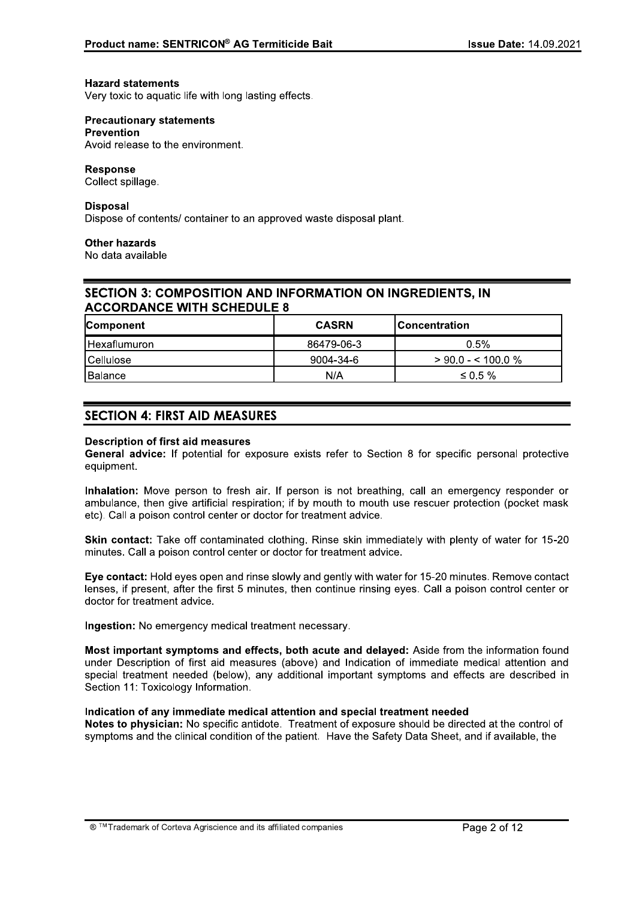## **Hazard statements**

Very toxic to aquatic life with long lasting effects.

#### **Precautionary statements Prevention**

Avoid release to the environment.

## **Response**

Collect spillage.

## **Disposal**

Dispose of contents/ container to an approved waste disposal plant.

## **Other hazards**

No data available

## **SECTION 3: COMPOSITION AND INFORMATION ON INGREDIENTS. IN ACCORDANCE WITH SCHEDULE 8**

| <b>Component</b>      | <b>CASRN</b> | lConcentration       |  |
|-----------------------|--------------|----------------------|--|
| <b>I</b> Hexaflumuron | 86479-06-3   | 0.5%                 |  |
| <b>I</b> Cellulose    | 9004-34-6    | $>$ 90.0 - < 100.0 % |  |
| l Balance i           | N/A          | ≤ 0.5 %              |  |

## **SECTION 4: FIRST AID MEASURES**

## **Description of first aid measures**

General advice: If potential for exposure exists refer to Section 8 for specific personal protective equipment.

Inhalation: Move person to fresh air. If person is not breathing, call an emergency responder or ambulance, then give artificial respiration; if by mouth to mouth use rescuer protection (pocket mask etc). Call a poison control center or doctor for treatment advice.

Skin contact: Take off contaminated clothing. Rinse skin immediately with plenty of water for 15-20 minutes. Call a poison control center or doctor for treatment advice.

Eye contact: Hold eyes open and rinse slowly and gently with water for 15-20 minutes. Remove contact lenses, if present, after the first 5 minutes, then continue rinsing eyes. Call a poison control center or doctor for treatment advice.

Ingestion: No emergency medical treatment necessary.

Most important symptoms and effects, both acute and delaved: Aside from the information found under Description of first aid measures (above) and Indication of immediate medical attention and special treatment needed (below), any additional important symptoms and effects are described in Section 11: Toxicology Information.

## Indication of any immediate medical attention and special treatment needed

Notes to physician: No specific antidote. Treatment of exposure should be directed at the control of symptoms and the clinical condition of the patient. Have the Safety Data Sheet, and if available, the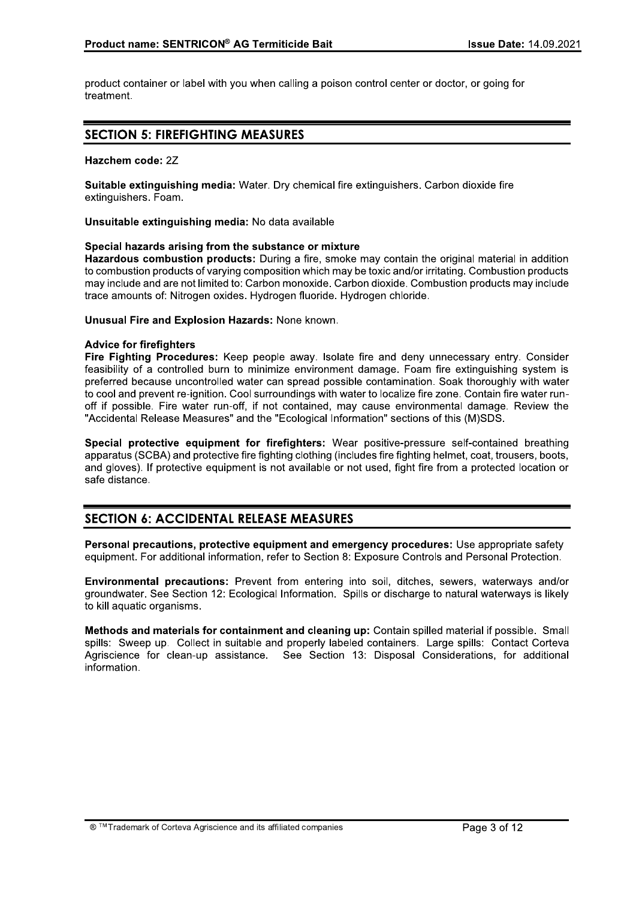product container or label with you when calling a poison control center or doctor, or going for treatment.

## **SECTION 5: FIREFIGHTING MEASURES**

## Hazchem code: 2Z

Suitable extinguishing media: Water. Dry chemical fire extinguishers. Carbon dioxide fire extinguishers. Foam.

Unsuitable extinguishing media: No data available

## Special hazards arising from the substance or mixture

Hazardous combustion products: During a fire, smoke may contain the original material in addition to combustion products of varying composition which may be toxic and/or irritating. Combustion products may include and are not limited to: Carbon monoxide. Carbon dioxide. Combustion products may include trace amounts of: Nitrogen oxides. Hydrogen fluoride. Hydrogen chloride.

Unusual Fire and Explosion Hazards: None known.

## **Advice for firefighters**

Fire Fighting Procedures: Keep people away. Isolate fire and deny unnecessary entry. Consider feasibility of a controlled burn to minimize environment damage. Foam fire extinguishing system is preferred because uncontrolled water can spread possible contamination. Soak thoroughly with water to cool and prevent re-ignition. Cool surroundings with water to localize fire zone. Contain fire water runoff if possible. Fire water run-off, if not contained, may cause environmental damage. Review the "Accidental Release Measures" and the "Ecological Information" sections of this (M)SDS.

Special protective equipment for firefighters: Wear positive-pressure self-contained breathing apparatus (SCBA) and protective fire fighting clothing (includes fire fighting helmet, coat, trousers, boots, and gloves). If protective equipment is not available or not used, fight fire from a protected location or safe distance.

## **SECTION 6: ACCIDENTAL RELEASE MEASURES**

Personal precautions, protective equipment and emergency procedures: Use appropriate safety equipment. For additional information, refer to Section 8: Exposure Controls and Personal Protection.

Environmental precautions: Prevent from entering into soil, ditches, sewers, waterways and/or groundwater. See Section 12: Ecological Information. Spills or discharge to natural waterways is likely to kill aquatic organisms.

Methods and materials for containment and cleaning up: Contain spilled material if possible. Small spills: Sweep up. Collect in suitable and properly labeled containers. Large spills: Contact Corteva Agriscience for clean-up assistance. See Section 13: Disposal Considerations, for additional information.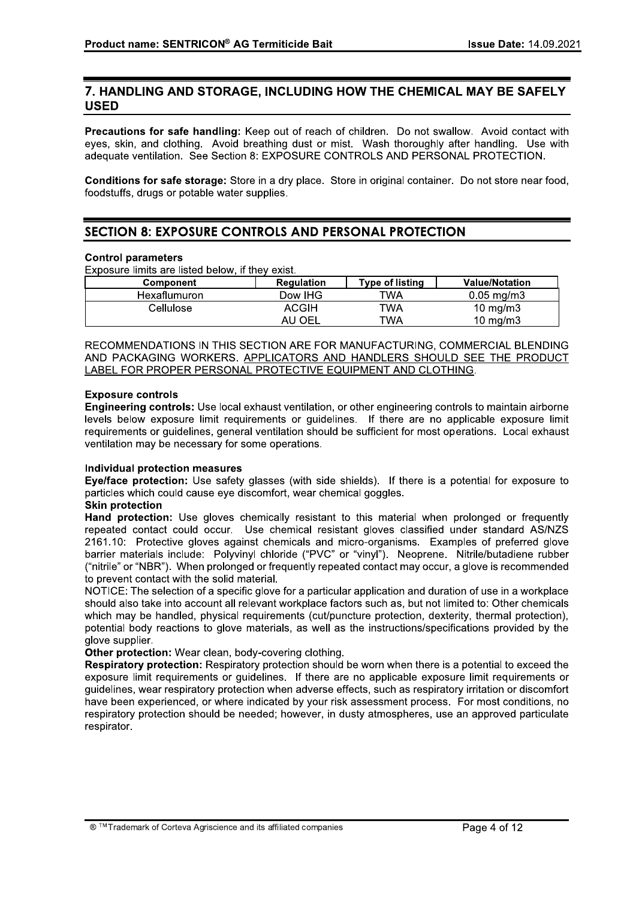## 7. HANDLING AND STORAGE, INCLUDING HOW THE CHEMICAL MAY BE SAFELY **USED**

Precautions for safe handling: Keep out of reach of children. Do not swallow. Avoid contact with eyes, skin, and clothing. Avoid breathing dust or mist. Wash thoroughly after handling. Use with adequate ventilation. See Section 8: EXPOSURE CONTROLS AND PERSONAL PROTECTION.

Conditions for safe storage: Store in a dry place. Store in original container. Do not store near food, foodstuffs, drugs or potable water supplies.

## **SECTION 8: EXPOSURE CONTROLS AND PERSONAL PROTECTION**

## **Control parameters**

Exposure limits are listed below, if they exist.

| Component    | <b>Regulation</b> | <b>Type of listing</b> | <b>Value/Notation</b>  |
|--------------|-------------------|------------------------|------------------------|
| Hexaflumuron | Dow IHG           | TWA                    | $0.05 \,\mathrm{mg/m}$ |
| Cellulose    | ACGIH             | TWA                    | 10 mg/m $3$            |
|              | AU OEL            | TWA                    | 10 mg/m $3$            |

RECOMMENDATIONS IN THIS SECTION ARE FOR MANUFACTURING, COMMERCIAL BLENDING AND PACKAGING WORKERS. APPLICATORS AND HANDLERS SHOULD SEE THE PRODUCT LABEL FOR PROPER PERSONAL PROTECTIVE EQUIPMENT AND CLOTHING.

## **Exposure controls**

Engineering controls: Use local exhaust ventilation, or other engineering controls to maintain airborne levels below exposure limit requirements or quidelines. If there are no applicable exposure limit requirements or quidelines, general ventilation should be sufficient for most operations. Local exhaust ventilation may be necessary for some operations.

## Individual protection measures

Eye/face protection: Use safety glasses (with side shields). If there is a potential for exposure to particles which could cause eye discomfort, wear chemical goggles.

## **Skin protection**

Hand protection: Use gloves chemically resistant to this material when prolonged or frequently repeated contact could occur. Use chemical resistant gloves classified under standard AS/NZS 2161.10: Protective gloves against chemicals and micro-organisms. Examples of preferred glove barrier materials include: Polyvinyl chloride ("PVC" or "vinyl"). Neoprene. Nitrile/butadiene rubber ("nitrile" or "NBR"). When prolonged or frequently repeated contact may occur, a glove is recommended to prevent contact with the solid material.

NOTICE: The selection of a specific glove for a particular application and duration of use in a workplace should also take into account all relevant workplace factors such as, but not limited to: Other chemicals which may be handled, physical requirements (cut/puncture protection, dexterity, thermal protection), potential body reactions to glove materials, as well as the instructions/specifications provided by the glove supplier.

Other protection: Wear clean, body-covering clothing.

Respiratory protection: Respiratory protection should be worn when there is a potential to exceed the exposure limit requirements or quidelines. If there are no applicable exposure limit requirements or quidelines, wear respiratory protection when adverse effects, such as respiratory irritation or discomfort have been experienced, or where indicated by your risk assessment process. For most conditions, no respiratory protection should be needed; however, in dusty atmospheres, use an approved particulate respirator.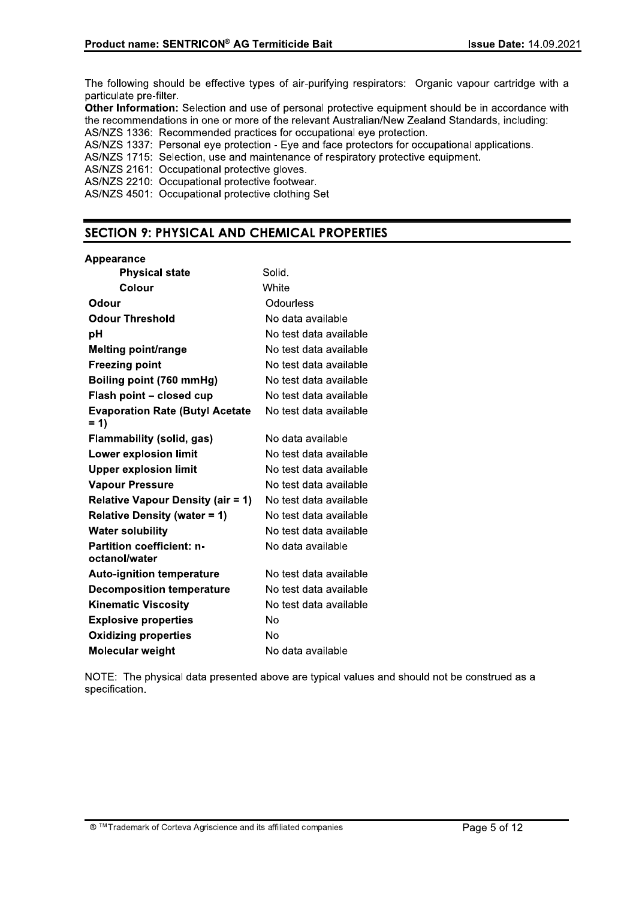The following should be effective types of air-purifying respirators: Organic vapour cartridge with a particulate pre-filter.

Other Information: Selection and use of personal protective equipment should be in accordance with the recommendations in one or more of the relevant Australian/New Zealand Standards, including: AS/NZS 1336: Recommended practices for occupational eye protection.

AS/NZS 1337: Personal eye protection - Eye and face protectors for occupational applications.

AS/NZS 1715: Selection, use and maintenance of respiratory protective equipment.

AS/NZS 2161: Occupational protective gloves.

AS/NZS 2210: Occupational protective footwear.

AS/NZS 4501: Occupational protective clothing Set

## **SECTION 9: PHYSICAL AND CHEMICAL PROPERTIES**

## Appearance

| <b>Physical state</b>                             | Solid.                 |
|---------------------------------------------------|------------------------|
| Colour                                            | White                  |
| Odour                                             | Odourless              |
| <b>Odour Threshold</b>                            | No data available      |
| рH                                                | No test data available |
| <b>Melting point/range</b>                        | No test data available |
| <b>Freezing point</b>                             | No test data available |
| Boiling point (760 mmHg)                          | No test data available |
| Flash point - closed cup                          | No test data available |
| <b>Evaporation Rate (Butyl Acetate</b><br>$= 1$   | No test data available |
| Flammability (solid, gas)                         | No data available      |
| <b>Lower explosion limit</b>                      | No test data available |
| <b>Upper explosion limit</b>                      | No test data available |
| <b>Vapour Pressure</b>                            | No test data available |
| <b>Relative Vapour Density (air = 1)</b>          | No test data available |
| <b>Relative Density (water = 1)</b>               | No test data available |
| <b>Water solubility</b>                           | No test data available |
| <b>Partition coefficient: n-</b><br>octanol/water | No data available      |
| <b>Auto-ignition temperature</b>                  | No test data available |
| <b>Decomposition temperature</b>                  | No test data available |
| <b>Kinematic Viscosity</b>                        | No test data available |
| <b>Explosive properties</b>                       | No                     |
| <b>Oxidizing properties</b>                       | No                     |
| Molecular weight                                  | No data available      |

NOTE: The physical data presented above are typical values and should not be construed as a specification.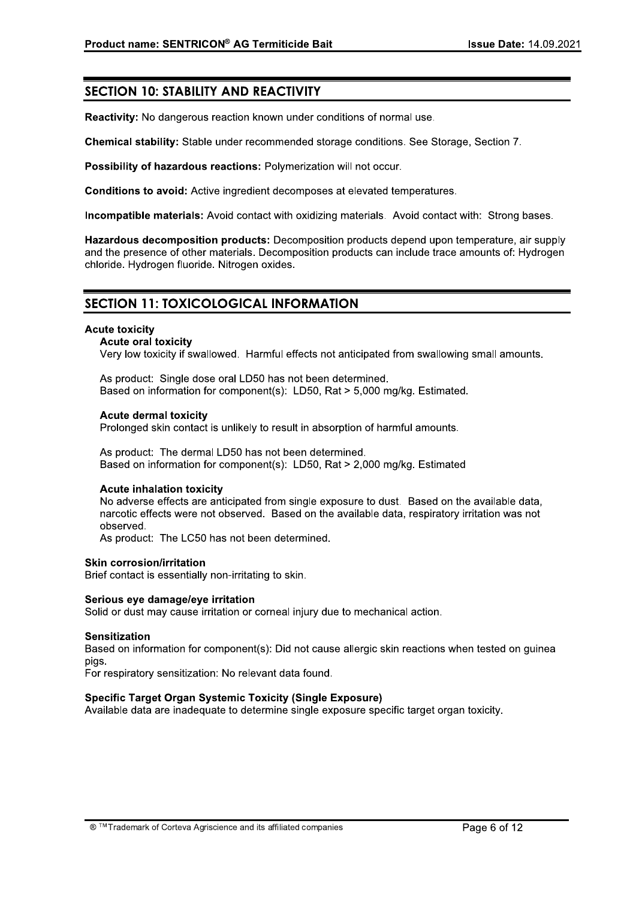## **SECTION 10: STABILITY AND REACTIVITY**

Reactivity: No dangerous reaction known under conditions of normal use.

Chemical stability: Stable under recommended storage conditions. See Storage, Section 7.

Possibility of hazardous reactions: Polymerization will not occur.

Conditions to avoid: Active ingredient decomposes at elevated temperatures.

Incompatible materials: Avoid contact with oxidizing materials. Avoid contact with: Strong bases.

Hazardous decomposition products: Decomposition products depend upon temperature, air supply and the presence of other materials. Decomposition products can include trace amounts of: Hydrogen chloride. Hydrogen fluoride. Nitrogen oxides.

## **SECTION 11: TOXICOLOGICAL INFORMATION**

## **Acute toxicity**

## **Acute oral toxicity**

Very low toxicity if swallowed. Harmful effects not anticipated from swallowing small amounts.

As product: Single dose oral LD50 has not been determined. Based on information for component(s): LD50, Rat > 5,000 mg/kg. Estimated.

## **Acute dermal toxicity**

Prolonged skin contact is unlikely to result in absorption of harmful amounts.

As product: The dermal LD50 has not been determined. Based on information for component(s): LD50, Rat > 2.000 mg/kg. Estimated

## **Acute inhalation toxicity**

No adverse effects are anticipated from single exposure to dust. Based on the available data. narcotic effects were not observed. Based on the available data, respiratory irritation was not observed.

As product: The LC50 has not been determined.

## **Skin corrosion/irritation**

Brief contact is essentially non-irritating to skin.

## Serious eve damage/eve irritation

Solid or dust may cause irritation or corneal injury due to mechanical action.

## **Sensitization**

Based on information for component(s): Did not cause allergic skin reactions when tested on guinea pigs.

For respiratory sensitization: No relevant data found.

## Specific Target Organ Systemic Toxicity (Single Exposure)

Available data are inadequate to determine single exposure specific target organ toxicity.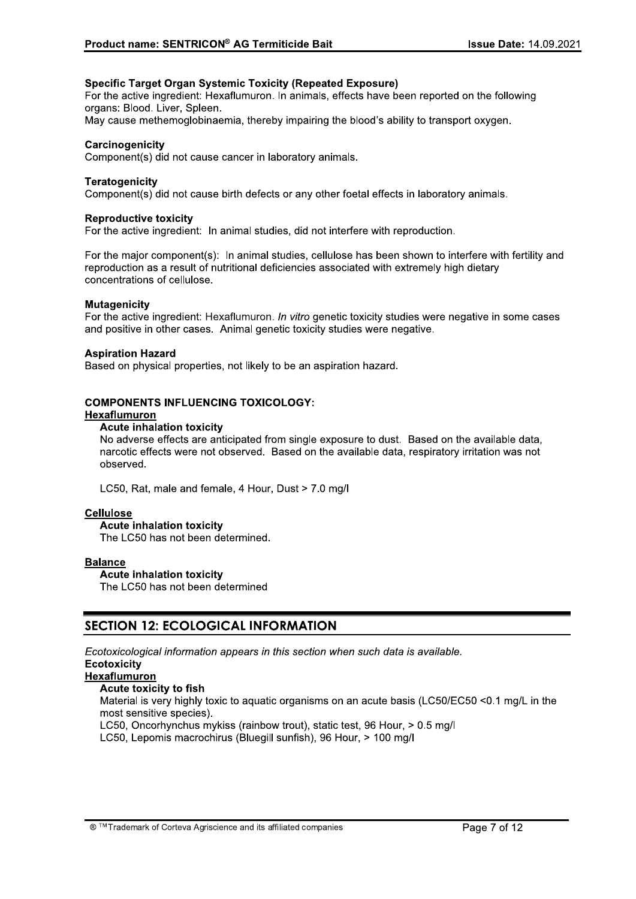## **Specific Target Organ Systemic Toxicity (Repeated Exposure)**

For the active ingredient: Hexaflumuron. In animals, effects have been reported on the following organs: Blood. Liver. Spleen.

May cause methemoglobinaemia, thereby impairing the blood's ability to transport oxygen.

## Carcinogenicity

Component(s) did not cause cancer in laboratory animals.

## **Teratogenicity**

Component(s) did not cause birth defects or any other foetal effects in laboratory animals.

## **Reproductive toxicity**

For the active ingredient: In animal studies, did not interfere with reproduction.

For the major component(s): In animal studies, cellulose has been shown to interfere with fertility and reproduction as a result of nutritional deficiencies associated with extremely high dietary concentrations of cellulose.

## **Mutagenicity**

For the active ingredient: Hexaflumuron. In vitro genetic toxicity studies were negative in some cases and positive in other cases. Animal genetic toxicity studies were negative.

## **Aspiration Hazard**

Based on physical properties, not likely to be an aspiration hazard.

## **COMPONENTS INFLUENCING TOXICOLOGY:**

## Hexaflumuron

## **Acute inhalation toxicity**

No adverse effects are anticipated from single exposure to dust. Based on the available data. narcotic effects were not observed. Based on the available data, respiratory irritation was not observed.

LC50, Rat, male and female, 4 Hour, Dust > 7.0 mg/l

## **Cellulose**

## **Acute inhalation toxicity**

The LC50 has not been determined.

## **Balance**

## **Acute inhalation toxicity**

The LC50 has not been determined

## **SECTION 12: ECOLOGICAL INFORMATION**

Ecotoxicological information appears in this section when such data is available.

## **Ecotoxicity**

## **Hexaflumuron**

## Acute toxicity to fish

Material is very highly toxic to aguatic organisms on an acute basis (LC50/EC50 < 0.1 mg/L in the most sensitive species).

LC50. Oncorhynchus mykiss (rainbow trout), static test, 96 Hour, > 0.5 mg/l

LC50, Lepomis macrochirus (Bluegill sunfish), 96 Hour, > 100 mg/l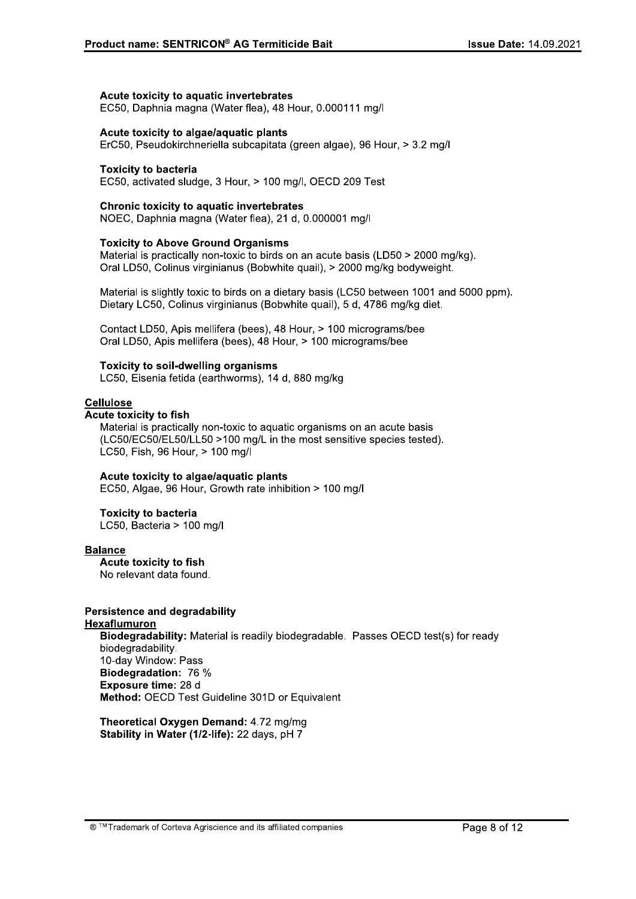#### $\mathbf{r}$ Acute toxicity to aquatic invertebrates

#### l. Acute toxícity to algae/aquatic plants

Product name: SENTRICON® AG Termiticide Bait<br>
Acute toxicity to aquatic invertebrates<br>
EC50, Daphnia magna (Water flea), 48 Hour, 0.000111 mg/l<br>
Acute toxicity to algae/aquatic plants<br>
ErC50, Pseudokirchneriella subcapitat Mater toxicity to aquatic invertebrates<br>EC50, Daphnia magna (Water flea), 48 Hour, 0.000111 mg/l<br>Acute toxicity to algae/aquatic plants<br>ErC50, Pseudokirchneriella subcapitata (green algae), 96 Hour, > 3.2 mg/l<br>Toxicity to

#### $\mathbf{r}$ Toxicity to bacteria

EC50, activated sludge, 3 Hour, > 100 mg/l, OECD 209 Test

#### $\mathbf{r}$ Chronic toxicity to aquatic invertebrates

#### $\mathbf{r}$ Toxicity to Above Ground Organisms

Acute toxicity to aquatic invertebrates<br>EC50, Daphnia magna (Water flea), 48 Hour, 0.000111 mg/l<br>Acute toxicity to algae/aquatic plants<br>ErC50, Pseudokirchneriella subcapitata (green algae), 96 Hour<br>Toxicity to bacteria<br>EC5

Acute toxicity to algae/aquatic plants<br>ErC50, Pseudokirchneriella subcapitata (green algae), 96 Ho<br>Toxicity to bacteria<br>EC50, activated sludge, 3 Hour, > 100 mg/l, OECD 209 Test<br>Chronic toxicity to aquatic invertebrates<br>NO Toxicity to bacteria<br>
EC50, activated sludge, 3 Hour, > 100 mg/l, OECD 209 Test<br>
Chronic toxicity to aquatic invertebrates<br>
NOEC, Daphnia magna (Water flea), 21 d, 0.000001 mg/l<br>
Toxicity to Above Ground Organisms<br>
Materia Toxicity to bacteria<br>
EC50, activated sludge, 3 Hour, > 100 mg/l, OECD 209 Test<br>
Chronic toxicity to aquatic invertebrates<br>
NOEC, Daphnia magna (Water flea), 21 d, 0.000001 mg/l<br>
Toxicity to Above Ground Organisms<br>
Materia Material is slightly toxic to birds on a dietary basis (LC50 between 1001 and 5000 ppm). Chronic toxicity to aquatic invertebrates<br>
NOEC, Daphnia magna (Water flea), 21 d, 0.000001 mg/l<br>
Toxicity to Above Ground Organisms<br>
Material is practically non-toxic to birds on an acute basis (LD50 > 2000 mg/kg).<br>
Oral Chronic toxicity to aquatic invertebrates<br>
NOEC, Daphnia magna (Water flea), 21 d, 0.000001 mg/l<br>
Toxicity to Above Ground Organisms<br>
Material is practically non-toxic to birds on an acute basis (LD50 > 2000 mg<br>
Oral LD50, **Toxicity to Above Ground Organisms**<br>
Material is practically non-toxic to birds on an acute basis (LD50 > 2000 mg/kg).<br>
Oral LD50, Colinus virginianus (Bobwhite quail), > 2000 mg/kg bodyweight.<br>
Material is slightly toxi

Contact LD50, Apis mellifera (bees), 48 Hour, > 100 micrograms/bee

#### $\overline{a}$ Toxicity to soil-awelling organisms

#### $\mathbb{R}^2$ <u>Cellulose</u>

**Toxicity to Above Ground Organisms**<br>
Material is practically non-toxic to birds on an acute basis (LD50 > 2000 mg/kg)<br>
Oral LD50, Colinus virginianus (Bobwhite quail), > 2000 mg/kg bodyweight.<br>
Material is slightly toxic Material is slightly toxic to birds on a dietary basis (LC5<br>Dietary LC50, Colinus virginianus (Bobwhite quail), 5 d<br>Contact LD50, Apis mellifera (bees), 48 Hour, > 100 m<br>Oral LD50, Apis mellifera (bees), 48 Hour, > 100 mi Acute toxicity to fish<br>Material is practically non-toxic to aquatic organisms on an acute basis Contact LD50, Apis mellifera (bees), 48 Hour, > 100 micrograms/bee<br>
Oral LD50, Apis mellifera (bees), 48 Hour, > 100 micrograms/bee<br>
Toxicity to soil-dwelling organisms<br>
LC50, Eisenia fetida (earthworms), 14 d, 880 mg/kg<br> (LC50/EC50/EL50/LL50 >100 mg/L in the most sensitive species tested). LC50, Fish, 96 Hour, > 100 mg/l **Cellulose**<br> **Acute toxicity to fish**<br>
Material is practically non-toxic to aquatic organisms on ar<br>
(LC50/EC50/EL50/LL50 >100 mg/L in the most sensitive s<br>
LC50, Fish, 96 Hour, > 100 mg/l<br> **Acute toxicity to algae/aquatic** Material is practically non-toxic to ac<br>
(LC50/EC50/EL50/LL50 >100 mg/L<br>
LC50, Fish, 96 Hour, > 100 mg/l<br> **Acute toxicity to algae/aquatic pla**<br>
EC50, Algae, 96 Hour, Growth rate i<br> **Toxicity to bacteria**<br>
LC50, Bacteria >

## Acute toxícity to aigae/aquatic plants

#### $\mathbb{R}^2$ **TOXICITY TO DACTEFIA**

LC50, Bacteria > 100 mg/l

#### $\mathbf{r}$ <u>Balance</u>

**Acute toxicity to fish**<br>No relevant data found.

## Persistence and degradability

## <u>Hexaflumuron</u>

Acute toxicity to algae/aquatic plan<br>EC50, Algae, 96 Hour, Growth rate in<br>Toxicity to bacteria<br>LC50, Bacteria > 100 mg/l<br>Balance<br>Acute toxicity to fish<br>No relevant data found.<br>Persistence and degradability<br>Hexaflumuron<br>Bio Blodegradar **alance**<br>
Acute toxicity to fish<br>
No relevant data found.<br>
exafflumuron<br>
exaffluming<br> **Exidedical State Section**<br>
Biodegradability: Material is readily biodegradable. Passes OECD test(s) for ready<br>
biodegradability.<br>
10-da Balance<br>
Acute toxicity to fish<br>
No relevant data found.<br>
Persistence and degradability<br>
Hexaflumuron<br>
Biodegradability: Material is rea<br>
biodegradability.<br>
10-day Window: Pass<br>
Biodegradation: 76 %<br>
Exposure time: 28 d<br>
M Acute toxicity to fish<br>
No relevant data found.<br>
Persistence and degradability<br>
Hexaflumuron<br>
Biodegradability: Material is readily biotologradability.<br>
10-day Window: Pass<br>
Biodegradation: 76 %<br>
Exposure time: 28 d<br>
Metho Blodegradation: 76 % Exposure time: 28 d rsistence and degradability<br>
<u>Riodegradability</u>: Material is readily biodegradable. Passes OECD<br>
biodegradability.<br>
10-day Window: Pass<br> **Biodegradation:** 76 %<br> **Exposure time:** 28 d<br> **Method:** OECD Test Guideline 301D or lability: Material is readily biodegradable. Pa<br>bility.<br>ndow: Pass<br>lation: 76 %<br>time: 28 d<br>ECD Test Guideline 301D or Equivalent<br>al Oxygen Demand: 4.72 mg/mg<br>n Water (1/2-life): 22 days, pH 7<br>of Corteva Agriscience and its

Stability in Water (1/2-life): 22 days, pH 7<br>
T<sup>M</sup> Trademark of Corteva Agriscience and its affiliated companies<br> **O**<sup>™</sup>Trademark of Corteva Agriscience and its affiliated companies<br>
Page 8 of 12  $\mathbb{L}$ Theoretical Oxygen Demand: 4.72 mg/mg Stability in Water (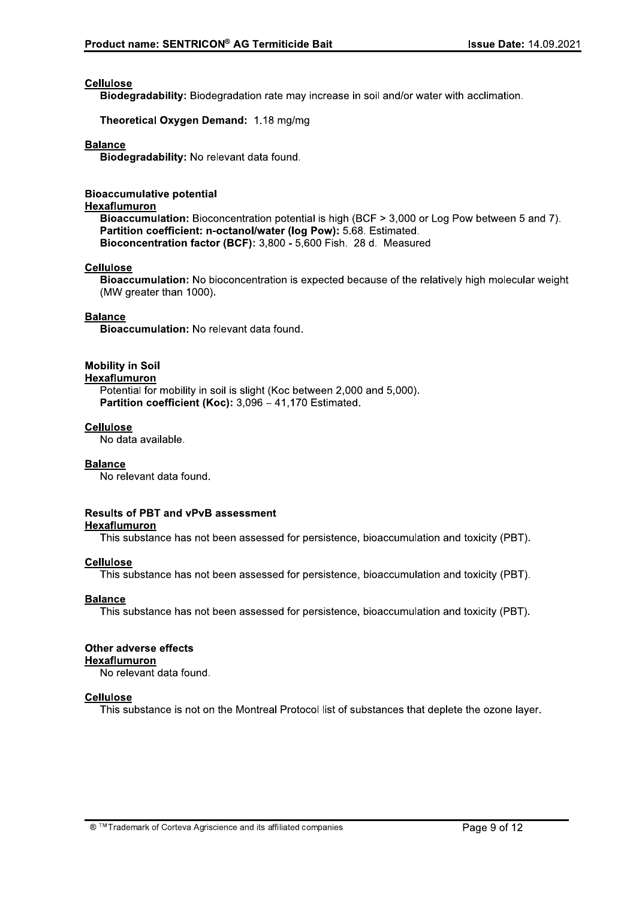## **Cellulose**

Biodegradability: Biodegradation rate may increase in soil and/or water with acclimation.

Theoretical Oxygen Demand: 1.18 mg/mg

## **Balance**

Biodegradability: No relevant data found.

## **Bioaccumulative potential**

## Hexaflumuron

Bioaccumulation: Bioconcentration potential is high (BCF > 3,000 or Log Pow between 5 and 7). Partition coefficient: n-octanol/water (log Pow): 5.68. Estimated. Bioconcentration factor (BCF): 3,800 - 5,600 Fish. 28 d. Measured

## **Cellulose**

Bioaccumulation: No bioconcentration is expected because of the relatively high molecular weight (MW greater than 1000).

## **Balance**

Bioaccumulation: No relevant data found.

## **Mobility in Soil**

## Hexaflumuron

Potential for mobility in soil is slight (Koc between 2,000 and 5,000). Partition coefficient (Koc): 3,096 - 41,170 Estimated.

## **Cellulose**

No data available.

## **Balance**

No relevant data found.

## **Results of PBT and vPvB assessment**

## **Hexaflumuron**

This substance has not been assessed for persistence, bioaccumulation and toxicity (PBT).

## **Cellulose**

This substance has not been assessed for persistence, bioaccumulation and toxicity (PBT).

## **Balance**

This substance has not been assessed for persistence, bioaccumulation and toxicity (PBT).

## Other adverse effects Hexaflumuron

No relevant data found.

## **Cellulose**

This substance is not on the Montreal Protocol list of substances that deplete the ozone layer.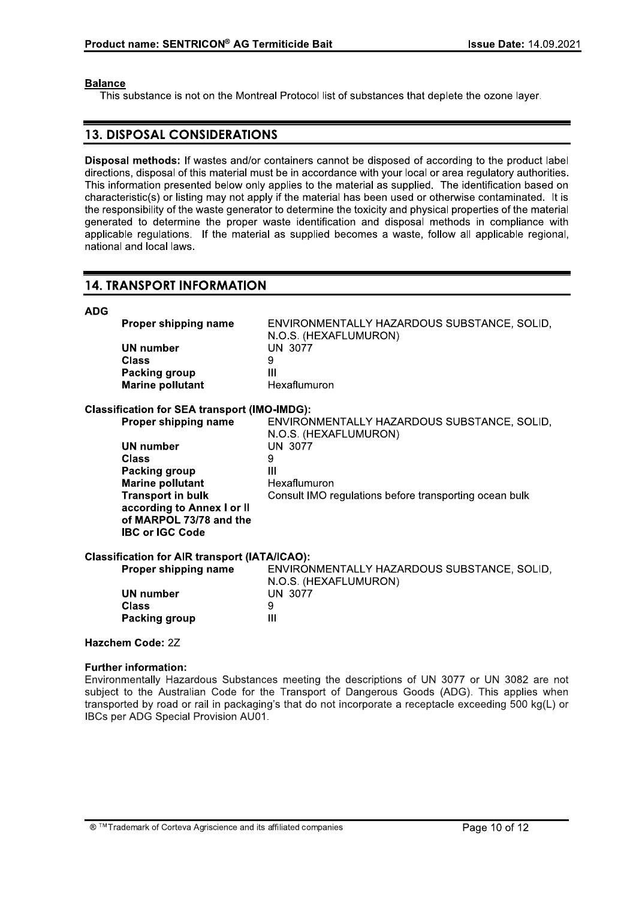## **Balance**

This substance is not on the Montreal Protocol list of substances that deplete the ozone layer.

## **13. DISPOSAL CONSIDERATIONS**

Disposal methods: If wastes and/or containers cannot be disposed of according to the product label directions, disposal of this material must be in accordance with your local or area regulatory authorities. This information presented below only applies to the material as supplied. The identification based on characteristic(s) or listing may not apply if the material has been used or otherwise contaminated. It is the responsibility of the waste generator to determine the toxicity and physical properties of the material generated to determine the proper waste identification and disposal methods in compliance with applicable requlations. If the material as supplied becomes a waste, follow all applicable regional, national and local laws.

## **14. TRANSPORT INFORMATION**

| <b>ADG</b>                                           |                                                     |                                                                      |  |  |
|------------------------------------------------------|-----------------------------------------------------|----------------------------------------------------------------------|--|--|
|                                                      | Proper shipping name                                | ENVIRONMENTALLY HAZARDOUS SUBSTANCE, SOLID,<br>N.O.S. (HEXAFLUMURON) |  |  |
|                                                      | <b>UN number</b>                                    | <b>UN 3077</b>                                                       |  |  |
|                                                      | Class                                               | 9                                                                    |  |  |
|                                                      | Packing group                                       | $\mathbf{III}$                                                       |  |  |
|                                                      | <b>Marine pollutant</b>                             | Hexaflumuron                                                         |  |  |
|                                                      | <b>Classification for SEA transport (IMO-IMDG):</b> |                                                                      |  |  |
|                                                      | Proper shipping name                                | ENVIRONMENTALLY HAZARDOUS SUBSTANCE, SOLID,<br>N.O.S. (HEXAFLUMURON) |  |  |
|                                                      | <b>UN number</b>                                    | <b>UN 3077</b>                                                       |  |  |
|                                                      | Class                                               | 9                                                                    |  |  |
|                                                      | Packing group                                       | Ш                                                                    |  |  |
|                                                      | <b>Marine pollutant</b>                             | Hexaflumuron                                                         |  |  |
|                                                      | <b>Transport in bulk</b>                            | Consult IMO regulations before transporting ocean bulk               |  |  |
|                                                      | according to Annex I or II                          |                                                                      |  |  |
|                                                      | of MARPOL 73/78 and the                             |                                                                      |  |  |
|                                                      | <b>IBC or IGC Code</b>                              |                                                                      |  |  |
| <b>Classification for AIR transport (IATA/ICAO):</b> |                                                     |                                                                      |  |  |
|                                                      | Proper shipping name                                | ENVIRONMENTALLY HAZARDOUS SUBSTANCE, SOLID,<br>N.O.S. (HEXAFLUMURON) |  |  |
|                                                      | <b>UN number</b>                                    | <b>UN 3077</b>                                                       |  |  |
|                                                      | Class                                               | 9                                                                    |  |  |
|                                                      | Packing group                                       | Ш                                                                    |  |  |

## Hazchem Code: 2Z

## **Further information:**

Environmentally Hazardous Substances meeting the descriptions of UN 3077 or UN 3082 are not subject to the Australian Code for the Transport of Dangerous Goods (ADG). This applies when transported by road or rail in packaging's that do not incorporate a receptacle exceeding 500 kg(L) or IBCs per ADG Special Provision AU01.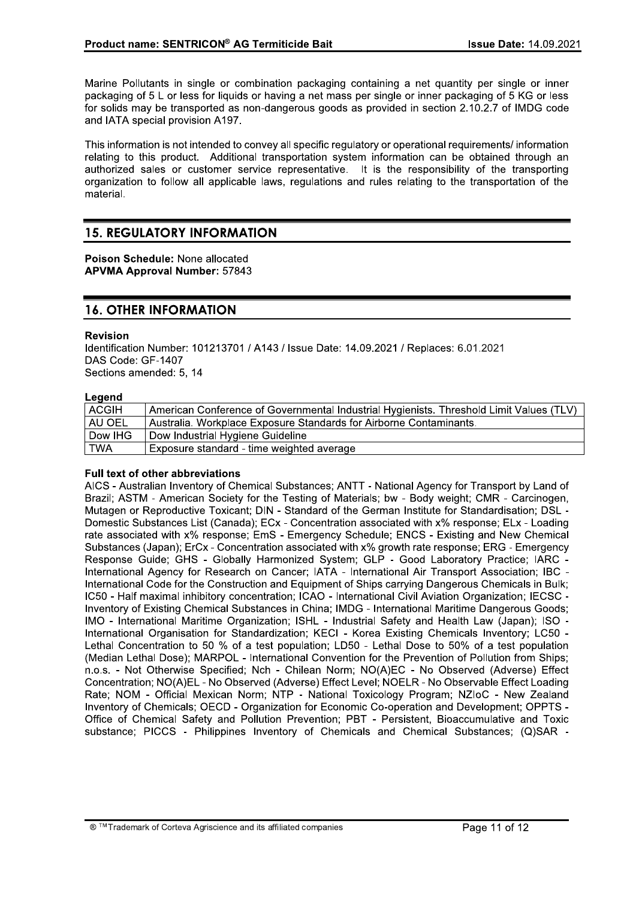Marine Pollutants in single or combination packaging containing a net quantity per single or inner packaging of 5 L or less for liguids or having a net mass per single or inner packaging of 5 KG or less for solids may be transported as non-dangerous goods as provided in section 2.10.2.7 of IMDG code and IATA special provision A197.

This information is not intended to convey all specific regulatory or operational requirements/ information relating to this product. Additional transportation system information can be obtained through an authorized sales or customer service representative. It is the responsibility of the transporting organization to follow all applicable laws, regulations and rules relating to the transportation of the material.

## **15. REGULATORY INFORMATION**

Poison Schedule: None allocated **APVMA Approval Number: 57843** 

## **16. OTHER INFORMATION**

## **Revision**

Identification Number: 101213701 / A143 / Issue Date: 14.09.2021 / Replaces: 6.01.2021 DAS Code: GF-1407 Sections amended: 5, 14

## Legend

| <b>ACGIH</b> | American Conference of Governmental Industrial Hygienists. Threshold Limit Values (TLV) |  |
|--------------|-----------------------------------------------------------------------------------------|--|
| l AU OEL     | Australia. Workplace Exposure Standards for Airborne Contaminants.                      |  |
| Dow IHG      | Dow Industrial Hygiene Guideline                                                        |  |
| l TWA        | Exposure standard - time weighted average                                               |  |

## Full text of other abbreviations

AICS - Australian Inventory of Chemical Substances: ANTT - National Agency for Transport by Land of Brazil; ASTM - American Society for the Testing of Materials; bw - Body weight; CMR - Carcinogen, Mutagen or Reproductive Toxicant; DIN - Standard of the German Institute for Standardisation; DSL -Domestic Substances List (Canada); ECx - Concentration associated with x% response; ELx - Loading rate associated with x% response; EmS - Emergency Schedule; ENCS - Existing and New Chemical Substances (Japan); ErCx - Concentration associated with x% growth rate response; ERG - Emergency Response Guide; GHS - Globally Harmonized System; GLP - Good Laboratory Practice; IARC -International Agency for Research on Cancer; IATA - International Air Transport Association; IBC -International Code for the Construction and Equipment of Ships carrying Dangerous Chemicals in Bulk; IC50 - Half maximal inhibitory concentration: ICAO - International Civil Aviation Organization: IECSC -Inventory of Existing Chemical Substances in China; IMDG - International Maritime Dangerous Goods; IMO - International Maritime Organization; ISHL - Industrial Safety and Health Law (Japan); ISO -International Organisation for Standardization; KECI - Korea Existing Chemicals Inventory; LC50 -Lethal Concentration to 50 % of a test population; LD50 - Lethal Dose to 50% of a test population (Median Lethal Dose); MARPOL - International Convention for the Prevention of Pollution from Ships; n.o.s. - Not Otherwise Specified; Nch - Chilean Norm; NO(A)EC - No Observed (Adverse) Effect Concentration; NO(A)EL - No Observed (Adverse) Effect Level; NOELR - No Observable Effect Loading Rate; NOM - Official Mexican Norm; NTP - National Toxicology Program; NZIoC - New Zealand Inventory of Chemicals; OECD - Organization for Economic Co-operation and Development; OPPTS -Office of Chemical Safety and Pollution Prevention; PBT - Persistent, Bioaccumulative and Toxic substance; PICCS - Philippines Inventory of Chemicals and Chemical Substances; (Q)SAR -